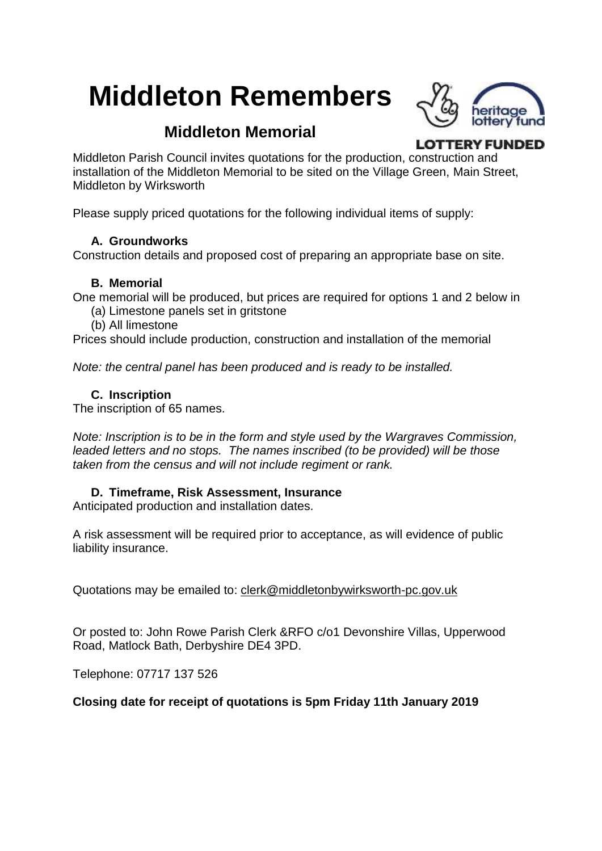# **Middleton Remembers**



# **Middleton Memorial**

**LOTTERY FUNDED** 

Middleton Parish Council invites quotations for the production, construction and installation of the Middleton Memorial to be sited on the Village Green, Main Street, Middleton by Wirksworth

Please supply priced quotations for the following individual items of supply:

# **A. Groundworks**

Construction details and proposed cost of preparing an appropriate base on site.

#### **B. Memorial**

One memorial will be produced, but prices are required for options 1 and 2 below in

- (a) Limestone panels set in gritstone
- (b) All limestone

Prices should include production, construction and installation of the memorial

*Note: the central panel has been produced and is ready to be installed.*

# **C. Inscription**

The inscription of 65 names.

*Note: Inscription is to be in the form and style used by the Wargraves Commission, leaded letters and no stops. The names inscribed (to be provided) will be those taken from the census and will not include regiment or rank.*

# **D. Timeframe, Risk Assessment, Insurance**

Anticipated production and installation dates.

A risk assessment will be required prior to acceptance, as will evidence of public liability insurance.

Quotations may be emailed to: [clerk@middletonbywirksworth-pc.gov.uk](mailto:clerk@middletonbywirksworth-pc.gov.uk)

Or posted to: John Rowe Parish Clerk &RFO c/o1 Devonshire Villas, Upperwood Road, Matlock Bath, Derbyshire DE4 3PD.

Telephone: 07717 137 526

**Closing date for receipt of quotations is 5pm Friday 11th January 2019**